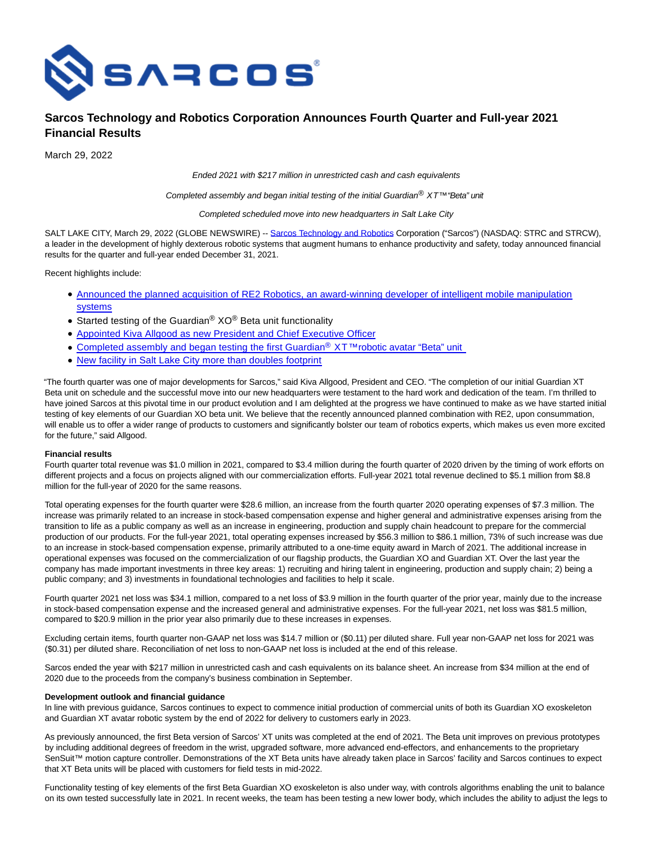

# **Sarcos Technology and Robotics Corporation Announces Fourth Quarter and Full-year 2021 Financial Results**

March 29, 2022

Ended 2021 with \$217 million in unrestricted cash and cash equivalents

Completed assembly and began initial testing of the initial Guardian<sup>®</sup>  $XT^{m}$  "Beta" unit

Completed scheduled move into new headquarters in Salt Lake City

SALT LAKE CITY, March 29, 2022 (GLOBE NEWSWIRE) -- [Sarcos Technology and Robotics C](https://www.globenewswire.com/Tracker?data=YPy-FovsDCB6xjRVDyMC0FrRo6VhnUlj_PoJcG7KaGThawuxh1VNxoDREKu1_nacrCXEQ1BlsSuVRz09bwp5-gC3FcPo8ovQGFwWl4ityxc=)orporation ("Sarcos") (NASDAQ: STRC and STRCW), a leader in the development of highly dexterous robotic systems that augment humans to enhance productivity and safety, today announced financial results for the quarter and full-year ended December 31, 2021.

Recent highlights include:

- [Announced the planned acquisition of RE2 Robotics, an award-winning developer of intelligent mobile manipulation](https://www.sarcos.com/press-releases/sarcos-technology-and-robotics-corporation-to-acquire-re2/) systems
- Started testing of the Guardian<sup>®</sup>  $XO^®$  Beta unit functionality
- [Appointed Kiva Allgood as new President and Chief Executive Officer](https://investor.sarcos.com/news-releases/news-release-details/sarcos-technology-and-robotics-corporation-strengthens)
- [Completed assembly and began testing the first Guardian](https://investor.sarcos.com/news-releases/news-release-details/sarcos-technology-and-robotics-corporation-meets-development)<sup>[®](https://investor.sarcos.com/news-releases/news-release-details/sarcos-technology-and-robotics-corporation-meets-development)</sup> XT<sup>™</sup> robotic avatar "Beta" unit
- [New facility in Salt Lake City more than doubles footprint](https://investor.sarcos.com/news-releases/news-release-details/sarcos-technology-and-robotics-corporation-moves-new)

"The fourth quarter was one of major developments for Sarcos," said Kiva Allgood, President and CEO. "The completion of our initial Guardian XT Beta unit on schedule and the successful move into our new headquarters were testament to the hard work and dedication of the team. I'm thrilled to have joined Sarcos at this pivotal time in our product evolution and I am delighted at the progress we have continued to make as we have started initial testing of key elements of our Guardian XO beta unit. We believe that the recently announced planned combination with RE2, upon consummation, will enable us to offer a wider range of products to customers and significantly bolster our team of robotics experts, which makes us even more excited for the future," said Allgood.

### **Financial results**

Fourth quarter total revenue was \$1.0 million in 2021, compared to \$3.4 million during the fourth quarter of 2020 driven by the timing of work efforts on different projects and a focus on projects aligned with our commercialization efforts. Full-year 2021 total revenue declined to \$5.1 million from \$8.8 million for the full-year of 2020 for the same reasons.

Total operating expenses for the fourth quarter were \$28.6 million, an increase from the fourth quarter 2020 operating expenses of \$7.3 million. The increase was primarily related to an increase in stock-based compensation expense and higher general and administrative expenses arising from the transition to life as a public company as well as an increase in engineering, production and supply chain headcount to prepare for the commercial production of our products. For the full-year 2021, total operating expenses increased by \$56.3 million to \$86.1 million, 73% of such increase was due to an increase in stock-based compensation expense, primarily attributed to a one-time equity award in March of 2021. The additional increase in operational expenses was focused on the commercialization of our flagship products, the Guardian XO and Guardian XT. Over the last year the company has made important investments in three key areas: 1) recruiting and hiring talent in engineering, production and supply chain; 2) being a public company; and 3) investments in foundational technologies and facilities to help it scale.

Fourth quarter 2021 net loss was \$34.1 million, compared to a net loss of \$3.9 million in the fourth quarter of the prior year, mainly due to the increase in stock-based compensation expense and the increased general and administrative expenses. For the full-year 2021, net loss was \$81.5 million, compared to \$20.9 million in the prior year also primarily due to these increases in expenses.

Excluding certain items, fourth quarter non-GAAP net loss was \$14.7 million or (\$0.11) per diluted share. Full year non-GAAP net loss for 2021 was (\$0.31) per diluted share. Reconciliation of net loss to non-GAAP net loss is included at the end of this release.

Sarcos ended the year with \$217 million in unrestricted cash and cash equivalents on its balance sheet. An increase from \$34 million at the end of 2020 due to the proceeds from the company's business combination in September.

## **Development outlook and financial guidance**

In line with previous guidance, Sarcos continues to expect to commence initial production of commercial units of both its Guardian XO exoskeleton and Guardian XT avatar robotic system by the end of 2022 for delivery to customers early in 2023.

As previously announced, the first Beta version of Sarcos' XT units was completed at the end of 2021. The Beta unit improves on previous prototypes by including additional degrees of freedom in the wrist, upgraded software, more advanced end-effectors, and enhancements to the proprietary SenSuit™ motion capture controller. Demonstrations of the XT Beta units have already taken place in Sarcos' facility and Sarcos continues to expect that XT Beta units will be placed with customers for field tests in mid-2022.

Functionality testing of key elements of the first Beta Guardian XO exoskeleton is also under way, with controls algorithms enabling the unit to balance on its own tested successfully late in 2021. In recent weeks, the team has been testing a new lower body, which includes the ability to adjust the legs to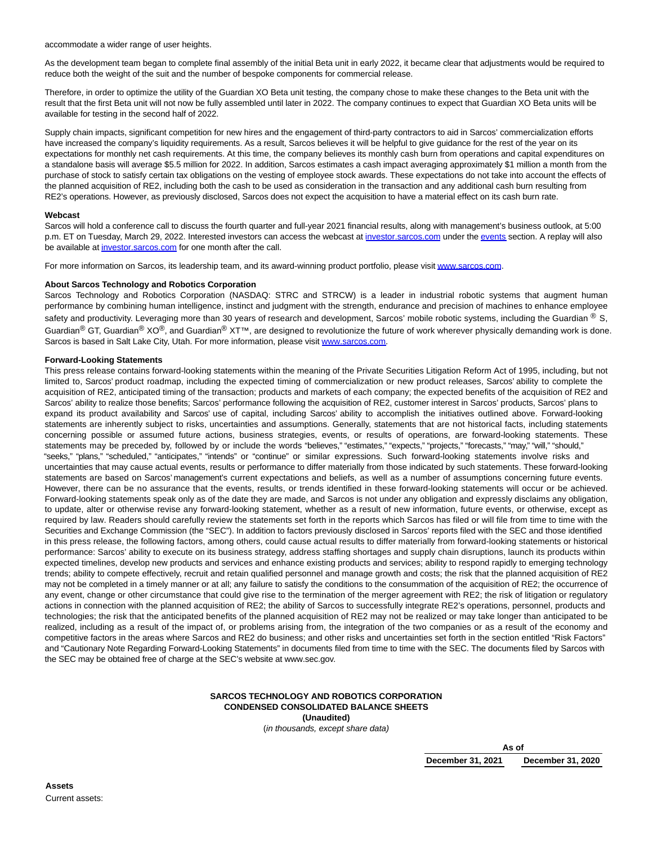accommodate a wider range of user heights.

As the development team began to complete final assembly of the initial Beta unit in early 2022, it became clear that adjustments would be required to reduce both the weight of the suit and the number of bespoke components for commercial release.

Therefore, in order to optimize the utility of the Guardian XO Beta unit testing, the company chose to make these changes to the Beta unit with the result that the first Beta unit will not now be fully assembled until later in 2022. The company continues to expect that Guardian XO Beta units will be available for testing in the second half of 2022.

Supply chain impacts, significant competition for new hires and the engagement of third-party contractors to aid in Sarcos' commercialization efforts have increased the company's liquidity requirements. As a result, Sarcos believes it will be helpful to give guidance for the rest of the year on its expectations for monthly net cash requirements. At this time, the company believes its monthly cash burn from operations and capital expenditures on a standalone basis will average \$5.5 million for 2022. In addition, Sarcos estimates a cash impact averaging approximately \$1 million a month from the purchase of stock to satisfy certain tax obligations on the vesting of employee stock awards. These expectations do not take into account the effects of the planned acquisition of RE2, including both the cash to be used as consideration in the transaction and any additional cash burn resulting from RE2's operations. However, as previously disclosed, Sarcos does not expect the acquisition to have a material effect on its cash burn rate.

#### **Webcast**

Sarcos will hold a conference call to discuss the fourth quarter and full-year 2021 financial results, along with management's business outlook, at 5:00 p.m. ET on Tuesday, March 29, 2022. Interested investors can access the webcast at [investor.sarcos.com u](https://www.globenewswire.com/Tracker?data=Vce6I9Ft8yQWqXnuZckCu2OzUZIb1rJln5qaEIlzOTs0pSyNt1CtKFFlk7p-NGGpg9dl7i4bze7nZpFRgHZ0gzF8wONSpVyj6K6weESYLTI=)nder the [events s](https://www.globenewswire.com/Tracker?data=2AdvCJlm1G-_kVfa5eTiFLPNyBdXlL_HNp3Z7oCbcpM0MU-a-HkLUJZ0wspZ15UZn-46BbuS4BrNxJdl2fN49IeX8nxOZxpk-Caif31TU0k=)ection. A replay will also be available a[t investor.sarcos.com f](https://www.globenewswire.com/Tracker?data=Vce6I9Ft8yQWqXnuZckCuwIyJ7TkxUxjJgEgK7luqKTQOcmO60MacD3I8p51MgSsysmwQ5WmK4H0lTkAzowyXUHLoER3MIfrRmOGsNuTOzY=)or one month after the call.

For more information on Sarcos, its leadership team, and its award-winning product portfolio, please visi[t www.sarcos.com.](https://www.globenewswire.com/Tracker?data=mmCrnX2ujGStXUJbA65V0ryFiTKgYCPz-HHMlIakKPXedhtnRgbXFv-htDCe6H66ZL2aueyKfYiRxU6Qqv4cTA==)

#### **About Sarcos Technology and Robotics Corporation**

Sarcos Technology and Robotics Corporation (NASDAQ: STRC and STRCW) is a leader in industrial robotic systems that augment human performance by combining human intelligence, instinct and judgment with the strength, endurance and precision of machines to enhance employee safety and productivity. Leveraging more than 30 years of research and development, Sarcos' mobile robotic systems, including the Guardian ® S, Guardian<sup>®</sup> GT, Guardian<sup>®</sup> XO<sup>®</sup>, and Guardian<sup>®</sup> XT™, are designed to revolutionize the future of work wherever physically demanding work is done. Sarcos is based in Salt Lake City, Utah. For more information, please visit [www.sarcos.com.](https://www.globenewswire.com/Tracker?data=mmCrnX2ujGStXUJbA65V0rDEa_FKWkislvsPmalXlSz4eE70UtkPHSqg5LfSIN1GAST0AKMZOa9fbXBpeRCQFg==)

#### **Forward-Looking Statements**

This press release contains forward-looking statements within the meaning of the Private Securities Litigation Reform Act of 1995, including, but not limited to, Sarcos' product roadmap, including the expected timing of commercialization or new product releases, Sarcos' ability to complete the acquisition of RE2, anticipated timing of the transaction; products and markets of each company; the expected benefits of the acquisition of RE2 and Sarcos' ability to realize those benefits; Sarcos' performance following the acquisition of RE2, customer interest in Sarcos' products, Sarcos' plans to expand its product availability and Sarcos' use of capital, including Sarcos' ability to accomplish the initiatives outlined above. Forward-looking statements are inherently subject to risks, uncertainties and assumptions. Generally, statements that are not historical facts, including statements concerning possible or assumed future actions, business strategies, events, or results of operations, are forward-looking statements. These statements may be preceded by, followed by or include the words "believes," "estimates," "expects," "projects," "forecasts," "may," "will," "should," "seeks," "plans," "scheduled," "anticipates," "intends" or "continue" or similar expressions. Such forward-looking statements involve risks and uncertainties that may cause actual events, results or performance to differ materially from those indicated by such statements. These forward-looking statements are based on Sarcos' management's current expectations and beliefs, as well as a number of assumptions concerning future events. However, there can be no assurance that the events, results, or trends identified in these forward-looking statements will occur or be achieved. Forward-looking statements speak only as of the date they are made, and Sarcos is not under any obligation and expressly disclaims any obligation, to update, alter or otherwise revise any forward-looking statement, whether as a result of new information, future events, or otherwise, except as required by law. Readers should carefully review the statements set forth in the reports which Sarcos has filed or will file from time to time with the Securities and Exchange Commission (the "SEC"). In addition to factors previously disclosed in Sarcos' reports filed with the SEC and those identified in this press release, the following factors, among others, could cause actual results to differ materially from forward-looking statements or historical performance: Sarcos' ability to execute on its business strategy, address staffing shortages and supply chain disruptions, launch its products within expected timelines, develop new products and services and enhance existing products and services; ability to respond rapidly to emerging technology trends; ability to compete effectively, recruit and retain qualified personnel and manage growth and costs; the risk that the planned acquisition of RE2 may not be completed in a timely manner or at all; any failure to satisfy the conditions to the consummation of the acquisition of RE2; the occurrence of any event, change or other circumstance that could give rise to the termination of the merger agreement with RE2; the risk of litigation or regulatory actions in connection with the planned acquisition of RE2; the ability of Sarcos to successfully integrate RE2's operations, personnel, products and technologies; the risk that the anticipated benefits of the planned acquisition of RE2 may not be realized or may take longer than anticipated to be realized, including as a result of the impact of, or problems arising from, the integration of the two companies or as a result of the economy and competitive factors in the areas where Sarcos and RE2 do business; and other risks and uncertainties set forth in the section entitled "Risk Factors" and "Cautionary Note Regarding Forward-Looking Statements" in documents filed from time to time with the SEC. The documents filed by Sarcos with the SEC may be obtained free of charge at the SEC's website at www.sec.gov.

#### **SARCOS TECHNOLOGY AND ROBOTICS CORPORATION CONDENSED CONSOLIDATED BALANCE SHEETS (Unaudited)**

(in thousands, except share data)

**As of**

**December 31, 2021 December 31, 2020**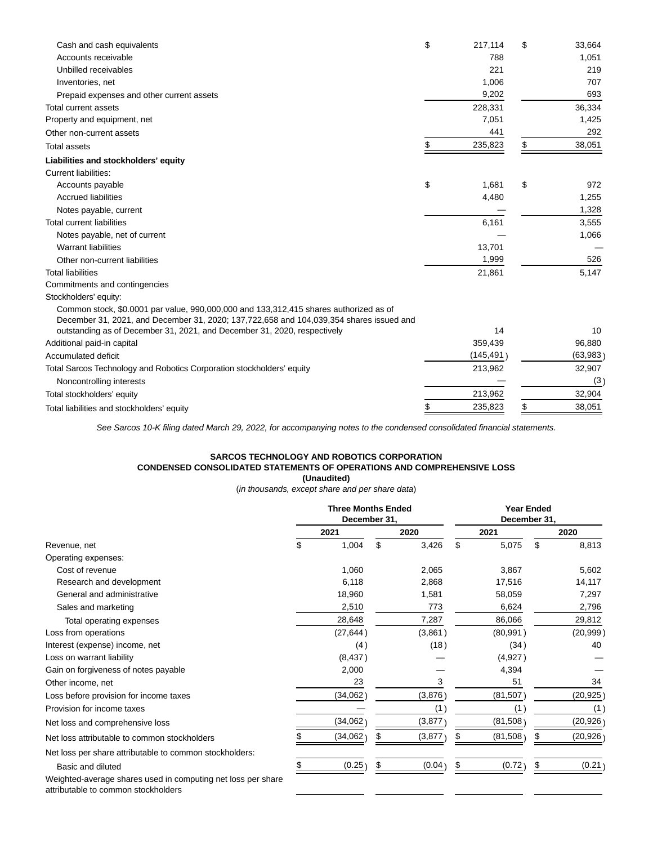| Cash and cash equivalents                                                                                                                                                            | \$ | 217,114    | \$<br>33,664 |
|--------------------------------------------------------------------------------------------------------------------------------------------------------------------------------------|----|------------|--------------|
| Accounts receivable                                                                                                                                                                  |    | 788        | 1,051        |
| Unbilled receivables                                                                                                                                                                 |    | 221        | 219          |
| Inventories, net                                                                                                                                                                     |    | 1,006      | 707          |
| Prepaid expenses and other current assets                                                                                                                                            |    | 9,202      | 693          |
| Total current assets                                                                                                                                                                 |    | 228,331    | 36,334       |
| Property and equipment, net                                                                                                                                                          |    | 7,051      | 1,425        |
| Other non-current assets                                                                                                                                                             |    | 441        | 292          |
| <b>Total assets</b>                                                                                                                                                                  | \$ | 235,823    | \$<br>38,051 |
| Liabilities and stockholders' equity                                                                                                                                                 |    |            |              |
| Current liabilities:                                                                                                                                                                 |    |            |              |
| Accounts payable                                                                                                                                                                     | \$ | 1,681      | \$<br>972    |
| <b>Accrued liabilities</b>                                                                                                                                                           |    | 4,480      | 1,255        |
| Notes payable, current                                                                                                                                                               |    |            | 1,328        |
| <b>Total current liabilities</b>                                                                                                                                                     |    | 6,161      | 3,555        |
| Notes payable, net of current                                                                                                                                                        |    |            | 1,066        |
| <b>Warrant liabilities</b>                                                                                                                                                           |    | 13,701     |              |
| Other non-current liabilities                                                                                                                                                        |    | 1,999      | 526          |
| <b>Total liabilities</b>                                                                                                                                                             |    | 21,861     | 5,147        |
| Commitments and contingencies                                                                                                                                                        |    |            |              |
| Stockholders' equity:                                                                                                                                                                |    |            |              |
| Common stock, \$0.0001 par value, 990,000,000 and 133,312,415 shares authorized as of<br>December 31, 2021, and December 31, 2020; 137, 722, 658 and 104, 039, 354 shares issued and |    |            |              |
| outstanding as of December 31, 2021, and December 31, 2020, respectively                                                                                                             |    | 14         | 10           |
| Additional paid-in capital                                                                                                                                                           |    | 359,439    | 96,880       |
| Accumulated deficit                                                                                                                                                                  |    | (145, 491) | (63, 983)    |
| Total Sarcos Technology and Robotics Corporation stockholders' equity                                                                                                                |    | 213,962    | 32,907       |
| Noncontrolling interests                                                                                                                                                             |    |            | (3)          |
| Total stockholders' equity                                                                                                                                                           |    | 213,962    | 32,904       |
| Total liabilities and stockholders' equity                                                                                                                                           | S  | 235,823    | \$<br>38,051 |

See Sarcos 10-K filing dated March 29, 2022, for accompanying notes to the condensed consolidated financial statements.

# **SARCOS TECHNOLOGY AND ROBOTICS CORPORATION CONDENSED CONSOLIDATED STATEMENTS OF OPERATIONS AND COMPREHENSIVE LOSS (Unaudited)**

(in thousands, except share and per share data)

|                                                                                                     | <b>Three Months Ended</b><br>December 31, |           |    | <b>Year Ended</b><br>December 31, |    |           |    |           |
|-----------------------------------------------------------------------------------------------------|-------------------------------------------|-----------|----|-----------------------------------|----|-----------|----|-----------|
|                                                                                                     |                                           | 2021      |    | 2020                              |    | 2021      |    | 2020      |
| Revenue, net                                                                                        | \$                                        | 1,004     | \$ | 3,426                             | \$ | 5,075     | \$ | 8,813     |
| Operating expenses:                                                                                 |                                           |           |    |                                   |    |           |    |           |
| Cost of revenue                                                                                     |                                           | 1,060     |    | 2,065                             |    | 3,867     |    | 5,602     |
| Research and development                                                                            |                                           | 6,118     |    | 2,868                             |    | 17,516    |    | 14,117    |
| General and administrative                                                                          |                                           | 18,960    |    | 1,581                             |    | 58,059    |    | 7,297     |
| Sales and marketing                                                                                 |                                           | 2,510     |    | 773                               |    | 6,624     |    | 2,796     |
| Total operating expenses                                                                            |                                           | 28,648    |    | 7,287                             |    | 86,066    |    | 29,812    |
| Loss from operations                                                                                |                                           | (27, 644) |    | (3,861)                           |    | (80, 991) |    | (20, 999) |
| Interest (expense) income, net                                                                      |                                           | (4)       |    | (18)                              |    | (34)      |    | 40        |
| Loss on warrant liability                                                                           |                                           | (8, 437)  |    |                                   |    | (4,927)   |    |           |
| Gain on forgiveness of notes payable                                                                |                                           | 2,000     |    |                                   |    | 4,394     |    |           |
| Other income, net                                                                                   |                                           | 23        |    | 3                                 |    | 51        |    | 34        |
| Loss before provision for income taxes                                                              |                                           | (34,062)  |    | (3,876)                           |    | (81, 507) |    | (20, 925) |
| Provision for income taxes                                                                          |                                           |           |    | (1)                               |    | (1        |    | (1)       |
| Net loss and comprehensive loss                                                                     |                                           | (34,062)  |    | (3, 877)                          |    | (81,508)  |    | (20,926)  |
| Net loss attributable to common stockholders                                                        |                                           | (34,062)  | Ъ  | (3,877)                           |    | (81,508)  |    | (20, 926) |
| Net loss per share attributable to common stockholders:                                             |                                           |           |    |                                   |    |           |    |           |
| Basic and diluted                                                                                   |                                           | (0.25)    | S  | (0.04)                            |    | (0.72)    |    | (0.21)    |
| Weighted-average shares used in computing net loss per share<br>attributable to common stockholders |                                           |           |    |                                   |    |           |    |           |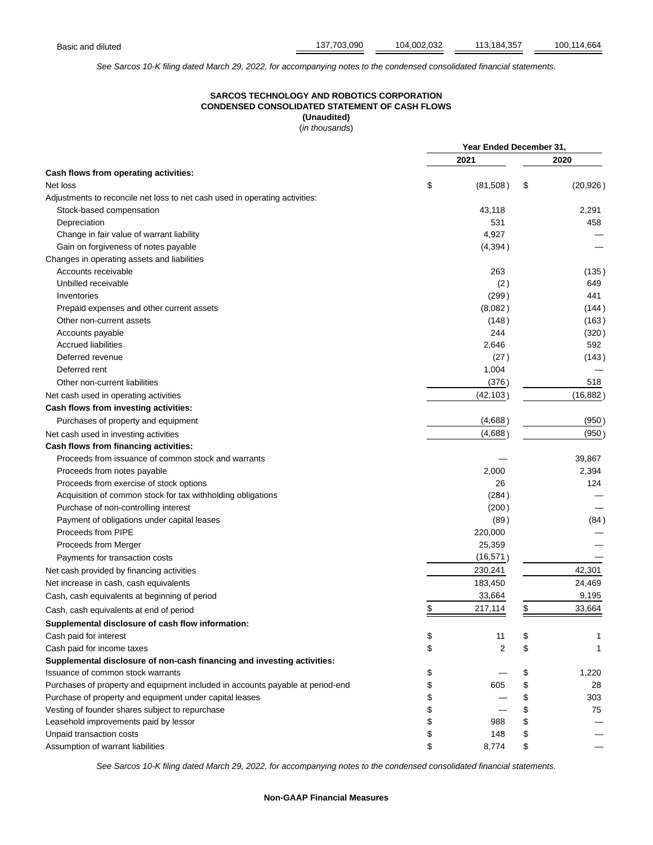See Sarcos 10-K filing dated March 29, 2022, for accompanying notes to the condensed consolidated financial statements.

# **SARCOS TECHNOLOGY AND ROBOTICS CORPORATION CONDENSED CONSOLIDATED STATEMENT OF CASH FLOWS (Unaudited)**

(in thousands)

|                                                                                | Year Ended December 31, |           |    |           |  |
|--------------------------------------------------------------------------------|-------------------------|-----------|----|-----------|--|
|                                                                                |                         | 2021      |    | 2020      |  |
| Cash flows from operating activities:                                          |                         |           |    |           |  |
| Net loss                                                                       | \$                      | (81,508)  | \$ | (20, 926) |  |
| Adjustments to reconcile net loss to net cash used in operating activities:    |                         |           |    |           |  |
| Stock-based compensation                                                       |                         | 43,118    |    | 2,291     |  |
| Depreciation                                                                   |                         | 531       |    | 458       |  |
| Change in fair value of warrant liability                                      |                         | 4,927     |    |           |  |
| Gain on forgiveness of notes payable                                           |                         | (4, 394)  |    |           |  |
| Changes in operating assets and liabilities                                    |                         |           |    |           |  |
| Accounts receivable                                                            |                         | 263       |    | (135)     |  |
| Unbilled receivable                                                            |                         | (2)       |    | 649       |  |
| Inventories                                                                    |                         | (299)     |    | 441       |  |
| Prepaid expenses and other current assets                                      |                         | (8,082)   |    | (144)     |  |
| Other non-current assets                                                       |                         | (148)     |    | (163)     |  |
| Accounts payable                                                               |                         | 244       |    | (320)     |  |
| Accrued liabilities                                                            |                         | 2,646     |    | 592       |  |
| Deferred revenue                                                               |                         | (27)      |    | (143)     |  |
| Deferred rent                                                                  |                         | 1,004     |    |           |  |
| Other non-current liabilities                                                  |                         | (376)     |    | 518       |  |
| Net cash used in operating activities                                          |                         | (42, 103) |    | (16, 882) |  |
| Cash flows from investing activities:                                          |                         |           |    |           |  |
| Purchases of property and equipment                                            |                         | (4,688)   |    | (950)     |  |
| Net cash used in investing activities                                          |                         | (4,688)   |    | (950)     |  |
| Cash flows from financing activities:                                          |                         |           |    |           |  |
| Proceeds from issuance of common stock and warrants                            |                         |           |    | 39,867    |  |
| Proceeds from notes payable                                                    |                         | 2,000     |    | 2,394     |  |
| Proceeds from exercise of stock options                                        |                         | 26        |    | 124       |  |
| Acquisition of common stock for tax withholding obligations                    |                         | (284)     |    |           |  |
| Purchase of non-controlling interest                                           |                         | (200)     |    |           |  |
| Payment of obligations under capital leases                                    |                         | (89)      |    | (84)      |  |
| Proceeds from PIPE                                                             |                         | 220,000   |    |           |  |
| Proceeds from Merger                                                           |                         | 25,359    |    |           |  |
| Payments for transaction costs                                                 |                         | (16, 571) |    |           |  |
|                                                                                |                         | 230,241   |    | 42,301    |  |
| Net cash provided by financing activities                                      |                         |           |    |           |  |
| Net increase in cash, cash equivalents                                         |                         | 183,450   |    | 24,469    |  |
| Cash, cash equivalents at beginning of period                                  |                         | 33,664    |    | 9,195     |  |
| Cash, cash equivalents at end of period                                        | \$                      | 217,114   | \$ | 33,664    |  |
| Supplemental disclosure of cash flow information:                              |                         |           |    |           |  |
| Cash paid for interest                                                         | \$                      | 11        | \$ |           |  |
| Cash paid for income taxes                                                     | \$                      | 2         | \$ | 1         |  |
| Supplemental disclosure of non-cash financing and investing activities:        |                         |           |    |           |  |
| Issuance of common stock warrants                                              | \$                      |           | \$ | 1,220     |  |
| Purchases of property and equipment included in accounts payable at period-end |                         | 605       | \$ | 28        |  |
| Purchase of property and equipment under capital leases                        |                         |           | \$ | 303       |  |
| Vesting of founder shares subject to repurchase                                |                         |           | \$ | 75        |  |
| Leasehold improvements paid by lessor                                          | \$                      | 988       | \$ |           |  |
| Unpaid transaction costs                                                       | \$                      | 148       | \$ |           |  |
| Assumption of warrant liabilities                                              | \$                      | 8,774     | \$ |           |  |

See Sarcos 10-K filing dated March 29, 2022, for accompanying notes to the condensed consolidated financial statements.